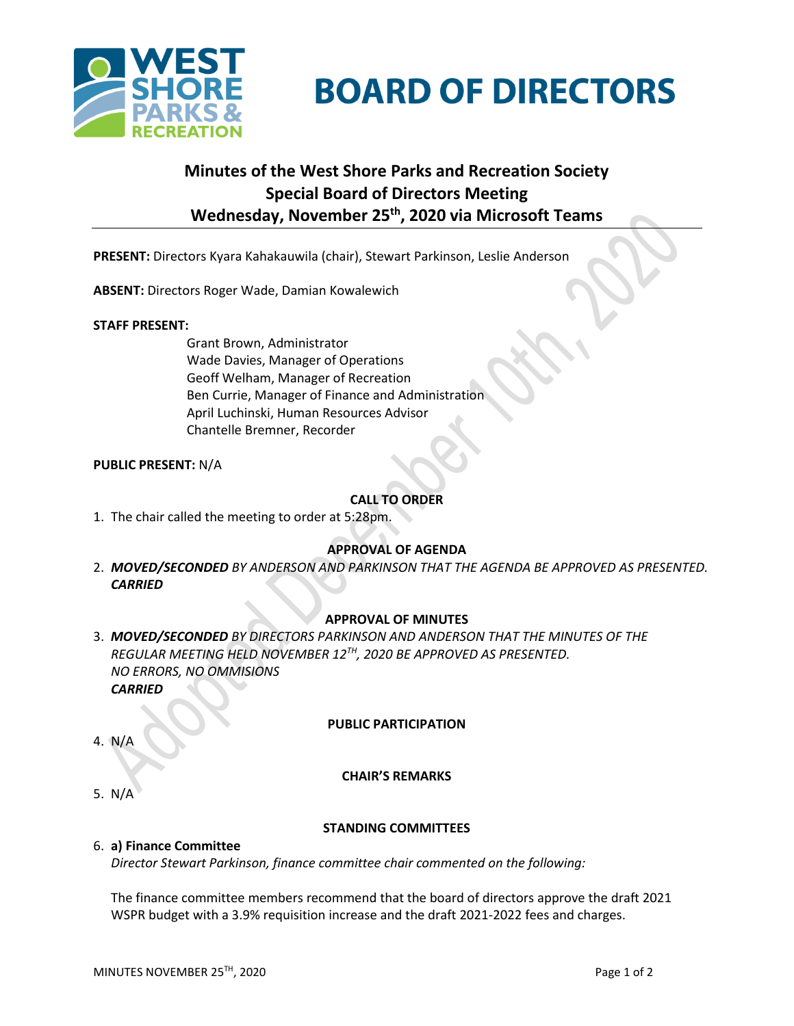



# **Minutes of the West Shore Parks and Recreation Society Special Board of Directors Meeting Wednesday, November 25th , 2020 via Microsoft Teams**

**PRESENT:** Directors Kyara Kahakauwila (chair), Stewart Parkinson, Leslie Anderson

**ABSENT:** Directors Roger Wade, Damian Kowalewich

# **STAFF PRESENT:**

Grant Brown, Administrator Wade Davies, Manager of Operations Geoff Welham, Manager of Recreation Ben Currie, Manager of Finance and Administration April Luchinski, Human Resources Advisor Chantelle Bremner, Recorder

# **PUBLIC PRESENT:** N/A

# **CALL TO ORDER**

1. The chair called the meeting to order at 5:28pm.

# **APPROVAL OF AGENDA**

2. *MOVED/SECONDED BY ANDERSON AND PARKINSON THAT THE AGENDA BE APPROVED AS PRESENTED. CARRIED*

# **APPROVAL OF MINUTES**

3. *MOVED/SECONDED BY DIRECTORS PARKINSON AND ANDERSON THAT THE MINUTES OF THE REGULAR MEETING HELD NOVEMBER 12TH, 2020 BE APPROVED AS PRESENTED. NO ERRORS, NO OMMISIONS CARRIED*

# **PUBLIC PARTICIPATION**

4. N/A

# **CHAIR'S REMARKS**

5. N/A

# **STANDING COMMITTEES**

# 6. **a) Finance Committee**

*Director Stewart Parkinson, finance committee chair commented on the following:*

The finance committee members recommend that the board of directors approve the draft 2021 WSPR budget with a 3.9% requisition increase and the draft 2021-2022 fees and charges.